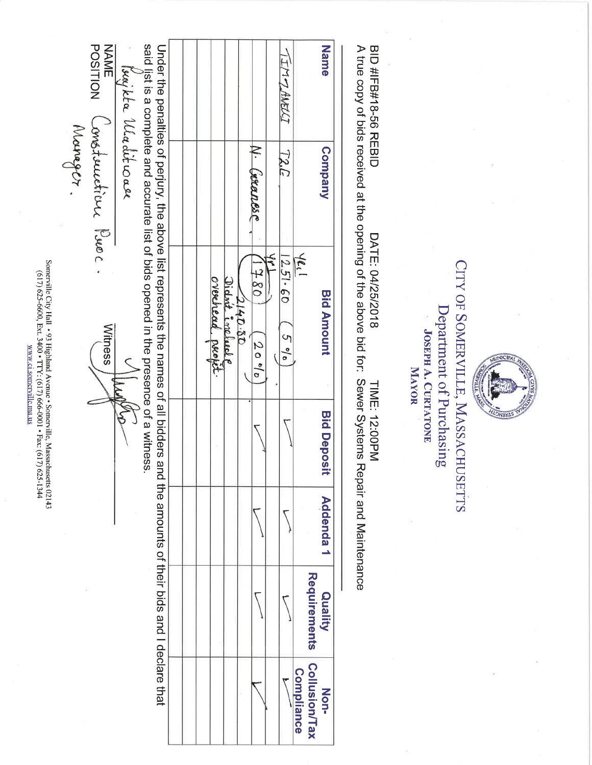| Name                                       | TIMPHART                  |                                    |                |                   |  |                                                                                                                                                                                                                                                                                                                         |                    | <b>POSITION</b><br>NAME |          |
|--------------------------------------------|---------------------------|------------------------------------|----------------|-------------------|--|-------------------------------------------------------------------------------------------------------------------------------------------------------------------------------------------------------------------------------------------------------------------------------------------------------------------------|--------------------|-------------------------|----------|
| Company                                    | 727                       | N. (xxanesc                        |                |                   |  |                                                                                                                                                                                                                                                                                                                         | buy the Uladit wae | constauction Puec.      | Mourager |
| $4e_1$<br><b>Bid Amount</b>                | $\zeta$<br>1251.60<br>596 | 08 t<br>2140.50<br>20 <sup>b</sup> | Didnit include | overehead profit. |  | said list is a complete and accurate list of bids opened in the presence of a witness<br>Under the penalties of perjury, the above list represents and all bidders and the annes of all bidders and the annes of their bids and the and the and the and the and the and the and the and the and the and the and the and |                    | Witness                 |          |
| <b>Bid Deposi</b>                          |                           |                                    |                |                   |  |                                                                                                                                                                                                                                                                                                                         |                    |                         |          |
| <b>Addenda1</b>                            |                           |                                    |                |                   |  |                                                                                                                                                                                                                                                                                                                         |                    |                         |          |
| Requirements<br>Quality                    |                           |                                    |                |                   |  |                                                                                                                                                                                                                                                                                                                         |                    |                         |          |
| Collusion/Tax<br><b>Compliance</b><br>Non- |                           |                                    |                |                   |  |                                                                                                                                                                                                                                                                                                                         |                    |                         |          |

**BID#TR#18-66 REBID** A true copy of bids received at the opening of the above bid for: Sewer Systems Repair and Maintenance DATE: 04/25/2018 TIME: 12:00PM

**NEWLS** 

CITY OF SOMERVILLE, MASSACHUSETTS Department of Purchasing **JOSEPH A. CURTATONE** MAYOR

**Company Bid Amount Bid Deposit** 

Somerville City Hall •93 Highland Avenue • Somerville, Massachusetts 02143 (17) 625-6600, Ext. 3400 • TTY: (617) 666-0001 • Fax: (617) 625-1344 www.ci.somerville.ma.us